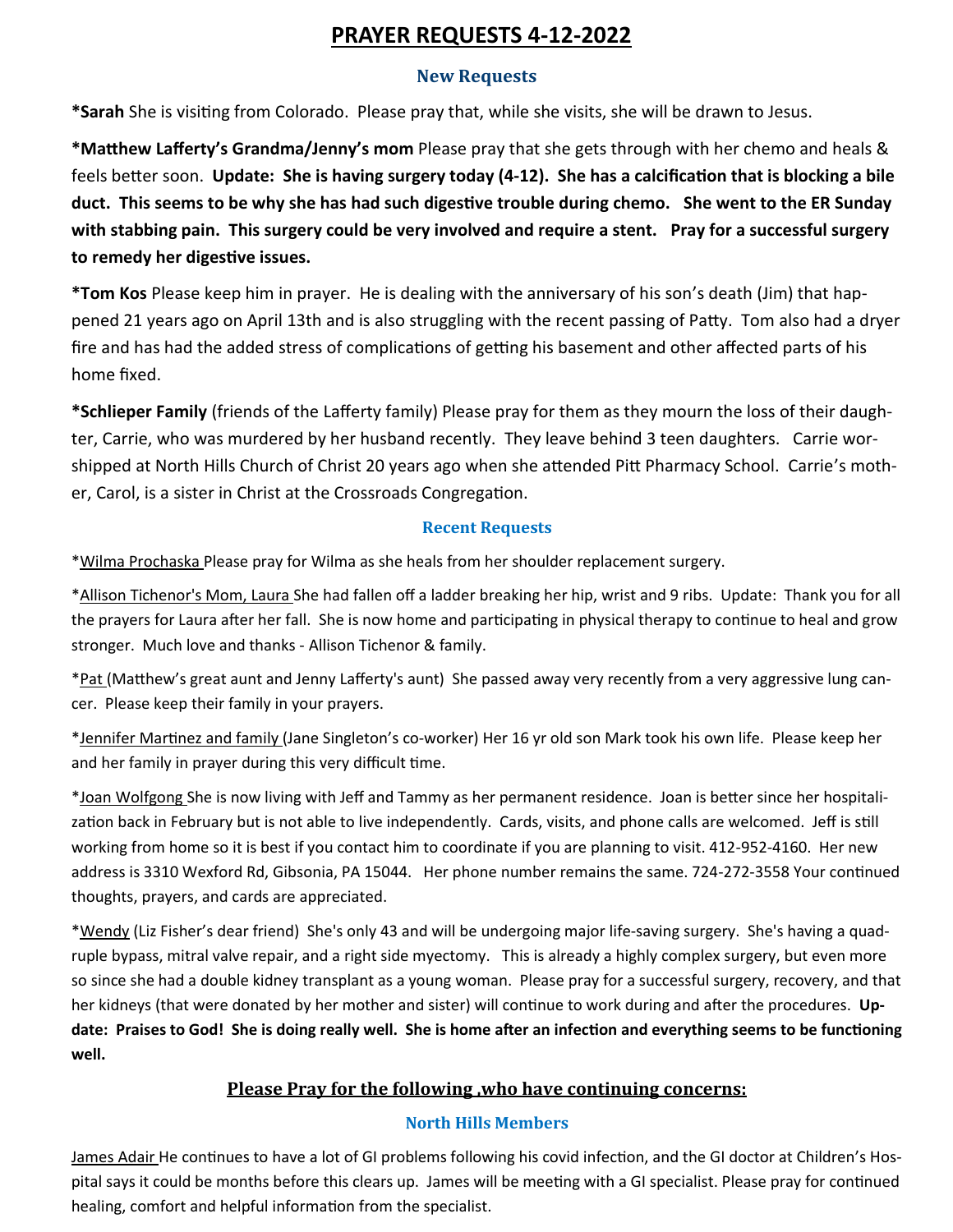# **PRAYER REQUESTS 4-12-2022**

#### **New Requests**

**\*Sarah** She is visiting from Colorado. Please pray that, while she visits, she will be drawn to Jesus.

**\*Matthew Lafferty's Grandma/Jenny's mom** Please pray that she gets through with her chemo and heals & feels better soon. **Update: She is having surgery today (4-12). She has a calcification that is blocking a bile duct. This seems to be why she has had such digestive trouble during chemo. She went to the ER Sunday with stabbing pain. This surgery could be very involved and require a stent. Pray for a successful surgery to remedy her digestive issues.** 

**\*Tom Kos** Please keep him in prayer. He is dealing with the anniversary of his son's death (Jim) that happened 21 years ago on April 13th and is also struggling with the recent passing of Patty. Tom also had a dryer fire and has had the added stress of complications of getting his basement and other affected parts of his home fixed.

**\*Schlieper Family** (friends of the Lafferty family) Please pray for them as they mourn the loss of their daughter, Carrie, who was murdered by her husband recently. They leave behind 3 teen daughters. Carrie worshipped at North Hills Church of Christ 20 years ago when she attended Pitt Pharmacy School. Carrie's mother, Carol, is a sister in Christ at the Crossroads Congregation.

## **Recent Requests**

\*Wilma Prochaska Please pray for Wilma as she heals from her shoulder replacement surgery.

\*Allison Tichenor's Mom, Laura She had fallen off a ladder breaking her hip, wrist and 9 ribs. Update: Thank you for all the prayers for Laura after her fall. She is now home and participating in physical therapy to continue to heal and grow stronger. Much love and thanks - Allison Tichenor & family.

\*Pat (Matthew's great aunt and Jenny Lafferty's aunt) She passed away very recently from a very aggressive lung cancer. Please keep their family in your prayers.

\*Jennifer Martinez and family (Jane Singleton's co-worker) Her 16 yr old son Mark took his own life. Please keep her and her family in prayer during this very difficult time.

\*Joan Wolfgong She is now living with Jeff and Tammy as her permanent residence. Joan is better since her hospitalization back in February but is not able to live independently. Cards, visits, and phone calls are welcomed. Jeff is still working from home so it is best if you contact him to coordinate if you are planning to visit. 412-952-4160. Her new address is 3310 Wexford Rd, Gibsonia, PA 15044. Her phone number remains the same. 724-272-3558 Your continued thoughts, prayers, and cards are appreciated.

\*Wendy (Liz Fisher's dear friend) She's only 43 and will be undergoing major life-saving surgery. She's having a quadruple bypass, mitral valve repair, and a right side myectomy. This is already a highly complex surgery, but even more so since she had a double kidney transplant as a young woman. Please pray for a successful surgery, recovery, and that her kidneys (that were donated by her mother and sister) will continue to work during and after the procedures. **Update: Praises to God! She is doing really well. She is home after an infection and everything seems to be functioning well.**

## **Please Pray for the following ,who have continuing concerns:**

## **North Hills Members**

James Adair He continues to have a lot of GI problems following his covid infection, and the GI doctor at Children's Hospital says it could be months before this clears up. James will be meeting with a GI specialist. Please pray for continued healing, comfort and helpful information from the specialist.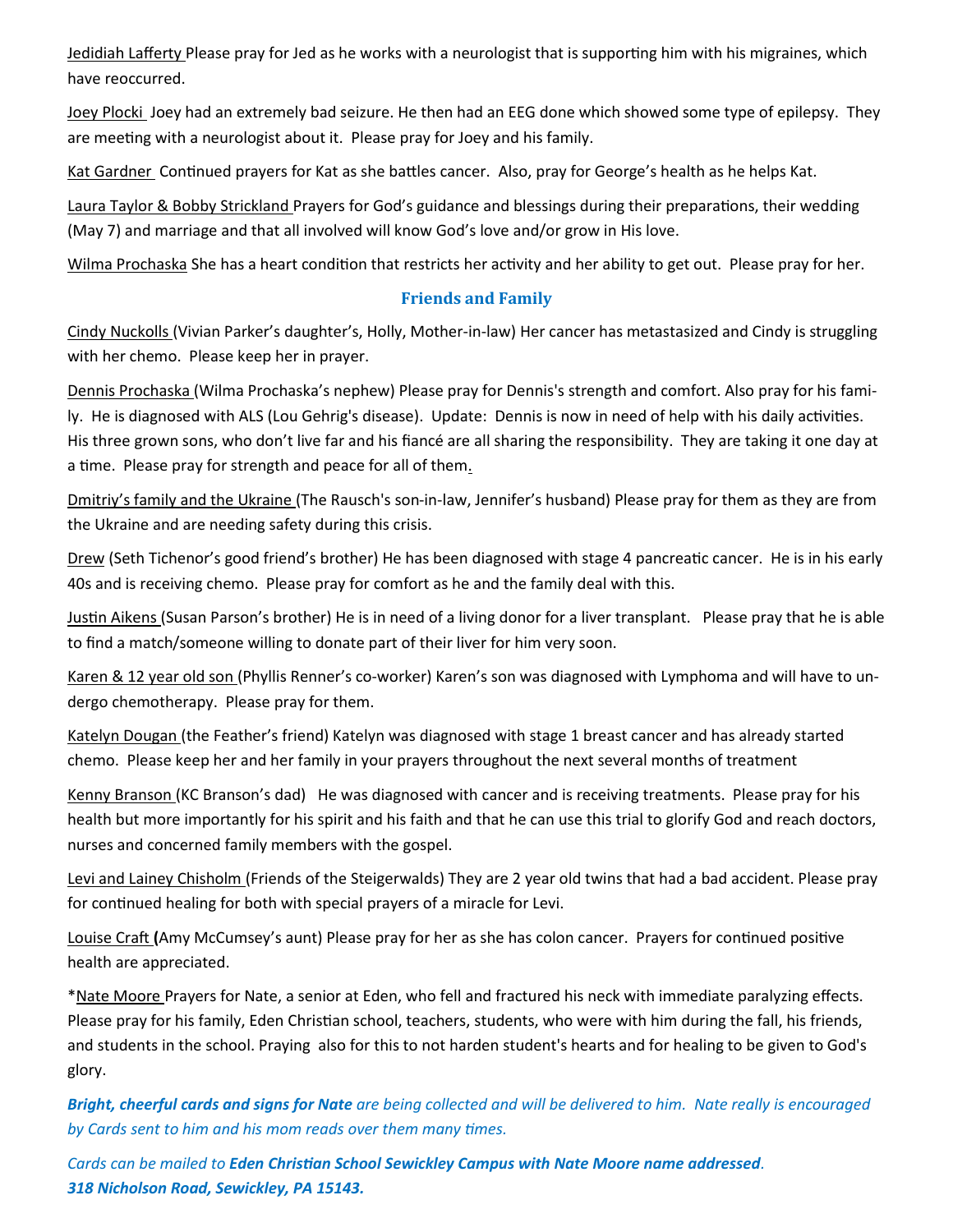Jedidiah Lafferty Please pray for Jed as he works with a neurologist that is supporting him with his migraines, which have reoccurred.

Joey Plocki Joey had an extremely bad seizure. He then had an EEG done which showed some type of epilepsy. They are meeting with a neurologist about it. Please pray for Joey and his family.

Kat Gardner Continued prayers for Kat as she battles cancer. Also, pray for George's health as he helps Kat.

Laura Taylor & Bobby Strickland Prayers for God's guidance and blessings during their preparations, their wedding (May 7) and marriage and that all involved will know God's love and/or grow in His love.

Wilma Prochaska She has a heart condition that restricts her activity and her ability to get out. Please pray for her.

## **Friends and Family**

Cindy Nuckolls (Vivian Parker's daughter's, Holly, Mother-in-law) Her cancer has metastasized and Cindy is struggling with her chemo. Please keep her in prayer.

Dennis Prochaska (Wilma Prochaska's nephew) Please pray for Dennis's strength and comfort. Also pray for his family. He is diagnosed with ALS (Lou Gehrig's disease). Update: Dennis is now in need of help with his daily activities. His three grown sons, who don't live far and his fiancé are all sharing the responsibility. They are taking it one day at a time. Please pray for strength and peace for all of them.

Dmitriy's family and the Ukraine (The Rausch's son-in-law, Jennifer's husband) Please pray for them as they are from the Ukraine and are needing safety during this crisis.

Drew (Seth Tichenor's good friend's brother) He has been diagnosed with stage 4 pancreatic cancer. He is in his early 40s and is receiving chemo. Please pray for comfort as he and the family deal with this.

Justin Aikens (Susan Parson's brother) He is in need of a living donor for a liver transplant. Please pray that he is able to find a match/someone willing to donate part of their liver for him very soon.

Karen & 12 year old son (Phyllis Renner's co-worker) Karen's son was diagnosed with Lymphoma and will have to undergo chemotherapy. Please pray for them.

Katelyn Dougan (the Feather's friend) Katelyn was diagnosed with stage 1 breast cancer and has already started chemo. Please keep her and her family in your prayers throughout the next several months of treatment

Kenny Branson (KC Branson's dad) He was diagnosed with cancer and is receiving treatments. Please pray for his health but more importantly for his spirit and his faith and that he can use this trial to glorify God and reach doctors, nurses and concerned family members with the gospel.

Levi and Lainey Chisholm (Friends of the Steigerwalds) They are 2 year old twins that had a bad accident. Please pray for continued healing for both with special prayers of a miracle for Levi.

Louise Craft **(**Amy McCumsey's aunt) Please pray for her as she has colon cancer. Prayers for continued positive health are appreciated.

\*Nate Moore Prayers for Nate, a senior at Eden, who fell and fractured his neck with immediate paralyzing effects. Please pray for his family, Eden Christian school, teachers, students, who were with him during the fall, his friends, and students in the school. Praying also for this to not harden student's hearts and for healing to be given to God's glory.

*Bright, cheerful cards and signs for Nate are being collected and will be delivered to him. Nate really is encouraged by Cards sent to him and his mom reads over them many times.* 

*Cards can be mailed to Eden Christian School Sewickley Campus with Nate Moore name addressed. 318 Nicholson Road, Sewickley, PA 15143.*